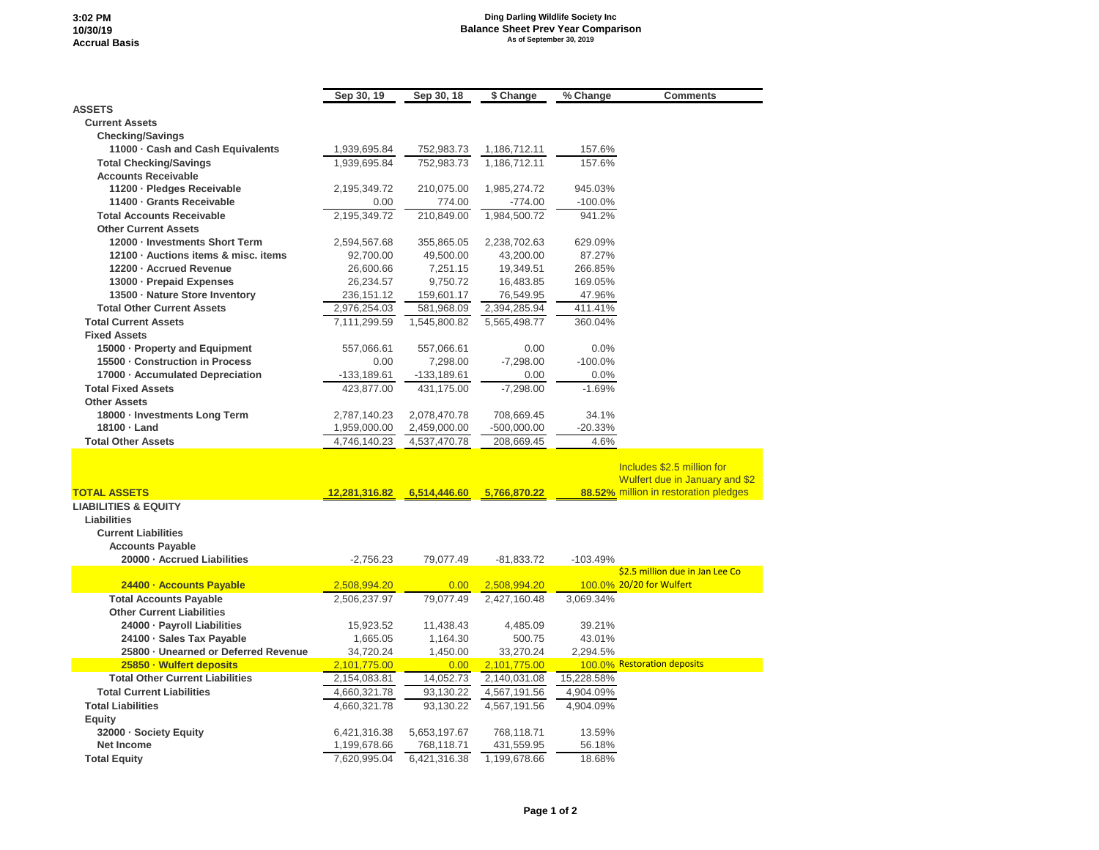## **3:02 PM 10/30/19 Accrual Basis**

## **Ding Darling Wildlife Society Inc Balance Sheet Prev Year Comparison As of September 30, 2019**

|                                        | Sep 30, 19    | Sep 30, 18   | \$ Change    | % Change   | <b>Comments</b>                       |
|----------------------------------------|---------------|--------------|--------------|------------|---------------------------------------|
| <b>ASSETS</b>                          |               |              |              |            |                                       |
| <b>Current Assets</b>                  |               |              |              |            |                                       |
| <b>Checking/Savings</b>                |               |              |              |            |                                       |
| 11000 Cash and Cash Equivalents        | 1,939,695.84  | 752,983.73   | 1,186,712.11 | 157.6%     |                                       |
| <b>Total Checking/Savings</b>          | 1.939.695.84  | 752.983.73   | 1,186,712.11 | 157.6%     |                                       |
| <b>Accounts Receivable</b>             |               |              |              |            |                                       |
| 11200 · Pledges Receivable             | 2,195,349.72  | 210,075.00   | 1,985,274.72 | 945.03%    |                                       |
| 11400 - Grants Receivable              | 0.00          | 774.00       | -774.00      | $-100.0\%$ |                                       |
| <b>Total Accounts Receivable</b>       | 2,195,349.72  | 210,849.00   | 1,984,500.72 | 941.2%     |                                       |
| <b>Other Current Assets</b>            |               |              |              |            |                                       |
| 12000 - Investments Short Term         | 2,594,567.68  | 355,865.05   | 2,238,702.63 | 629.09%    |                                       |
| 12100 · Auctions items & misc. items   | 92,700.00     | 49,500.00    | 43,200.00    | 87.27%     |                                       |
| 12200 - Accrued Revenue                | 26,600.66     | 7,251.15     | 19,349.51    | 266.85%    |                                       |
| 13000 - Prepaid Expenses               | 26,234.57     | 9,750.72     | 16,483.85    | 169.05%    |                                       |
| 13500 · Nature Store Inventory         | 236,151.12    | 159,601.17   | 76,549.95    | 47.96%     |                                       |
| <b>Total Other Current Assets</b>      | 2,976,254.03  | 581,968.09   | 2,394,285.94 | 411.41%    |                                       |
| <b>Total Current Assets</b>            | 7,111,299.59  | 1,545,800.82 | 5,565,498.77 | 360.04%    |                                       |
| <b>Fixed Assets</b>                    |               |              |              |            |                                       |
| 15000 - Property and Equipment         | 557,066.61    | 557,066.61   | 0.00         | 0.0%       |                                       |
| 15500 - Construction in Process        | 0.00          | 7,298.00     | $-7,298.00$  | $-100.0%$  |                                       |
| 17000 - Accumulated Depreciation       | -133,189.61   | -133,189.61  | 0.00         | 0.0%       |                                       |
| <b>Total Fixed Assets</b>              | 423,877.00    | 431,175.00   | $-7,298.00$  | $-1.69%$   |                                       |
| <b>Other Assets</b>                    |               |              |              |            |                                       |
| 18000 · Investments Long Term          | 2,787,140.23  | 2,078,470.78 | 708,669.45   | 34.1%      |                                       |
| 18100 · Land                           | 1,959,000.00  | 2,459,000.00 | -500,000.00  | $-20.33%$  |                                       |
| <b>Total Other Assets</b>              | 4,746,140.23  | 4,537,470.78 | 208,669.45   | 4.6%       |                                       |
|                                        |               |              |              |            | Includes \$2.5 million for            |
|                                        |               |              |              |            | Wulfert due in January and \$2        |
| <b>TOTAL ASSETS</b>                    | 12,281,316.82 | 6,514,446.60 | 5,766,870.22 |            | 88.52% million in restoration pledges |
| <b>LIABILITIES &amp; EQUITY</b>        |               |              |              |            |                                       |
| Liabilities                            |               |              |              |            |                                       |
| <b>Current Liabilities</b>             |               |              |              |            |                                       |
| <b>Accounts Payable</b>                |               |              |              |            |                                       |
| 20000 - Accrued Liabilities            | $-2,756.23$   | 79,077.49    | $-81,833.72$ | $-103.49%$ |                                       |
|                                        |               |              |              |            | \$2.5 million due in Jan Lee Co       |
| 24400 · Accounts Payable               | 2,508,994.20  | 0.00         | 2,508,994.20 |            | 100.0% 20/20 for Wulfert              |
| <b>Total Accounts Payable</b>          | 2,506,237.97  | 79,077.49    | 2,427,160.48 | 3.069.34%  |                                       |
| <b>Other Current Liabilities</b>       |               |              |              |            |                                       |
| 24000 · Payroll Liabilities            | 15,923.52     | 11,438.43    | 4,485.09     | 39.21%     |                                       |
| 24100 · Sales Tax Payable              | 1,665.05      | 1,164.30     | 500.75       | 43.01%     |                                       |
| 25800 · Unearned or Deferred Revenue   | 34,720.24     | 1,450.00     | 33,270.24    | 2,294.5%   |                                       |
| 25850 · Wulfert deposits               | 2,101,775.00  | 0.00         | 2,101,775.00 |            | 100.0% Restoration deposits           |
| <b>Total Other Current Liabilities</b> | 2,154,083.81  | 14,052.73    | 2,140,031.08 | 15,228.58% |                                       |
| <b>Total Current Liabilities</b>       | 4,660,321.78  | 93,130.22    | 4,567,191.56 | 4,904.09%  |                                       |
| <b>Total Liabilities</b>               | 4,660,321.78  | 93,130.22    | 4,567,191.56 | 4,904.09%  |                                       |
| Equity                                 |               |              |              |            |                                       |
| 32000 · Society Equity                 | 6,421,316.38  | 5,653,197.67 | 768,118.71   | 13.59%     |                                       |
| <b>Net Income</b>                      | 1,199,678.66  | 768,118.71   | 431,559.95   | 56.18%     |                                       |
| <b>Total Equity</b>                    | 7,620,995.04  | 6,421,316.38 | 1,199,678.66 | 18.68%     |                                       |